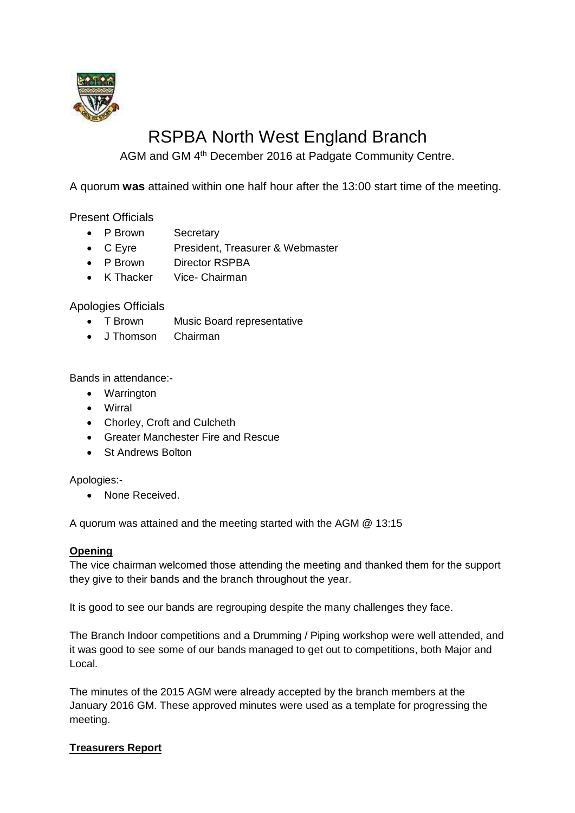

# RSPBA North West England Branch

AGM and GM 4<sup>th</sup> December 2016 at Padgate Community Centre.

A quorum **was** attained within one half hour after the 13:00 start time of the meeting.

Present Officials

- P Brown Secretary
- C Eyre President, Treasurer & Webmaster
- P Brown Director RSPBA
- K Thacker Vice- Chairman

Apologies Officials

- T Brown Music Board representative
- J Thomson Chairman

Bands in attendance:-

- Warrington
- Wirral
- Chorley, Croft and Culcheth
- Greater Manchester Fire and Rescue
- St Andrews Bolton

Apologies:-

• None Received.

A quorum was attained and the meeting started with the AGM @ 13:15

#### **Opening**

The vice chairman welcomed those attending the meeting and thanked them for the support they give to their bands and the branch throughout the year.

It is good to see our bands are regrouping despite the many challenges they face.

The Branch Indoor competitions and a Drumming / Piping workshop were well attended, and it was good to see some of our bands managed to get out to competitions, both Major and Local.

The minutes of the 2015 AGM were already accepted by the branch members at the January 2016 GM. These approved minutes were used as a template for progressing the meeting.

# **Treasurers Report**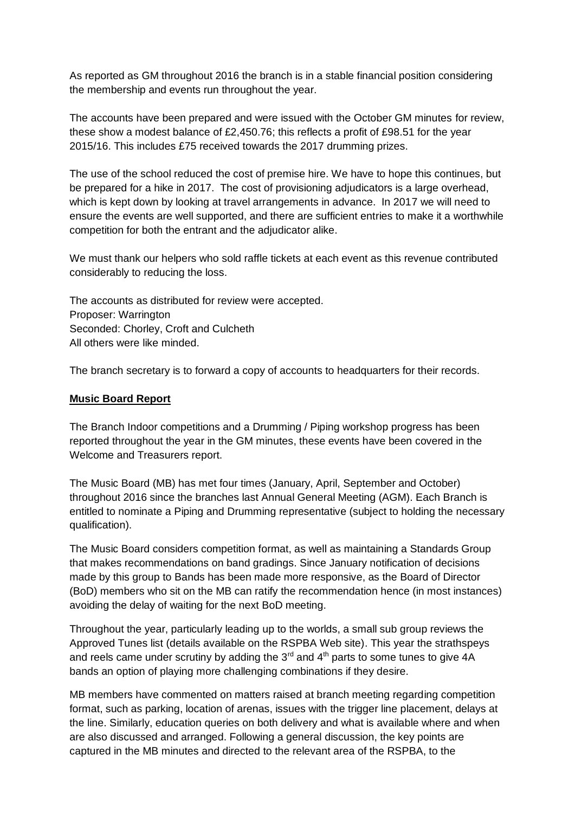As reported as GM throughout 2016 the branch is in a stable financial position considering the membership and events run throughout the year.

The accounts have been prepared and were issued with the October GM minutes for review, these show a modest balance of £2,450.76; this reflects a profit of £98.51 for the year 2015/16. This includes £75 received towards the 2017 drumming prizes.

The use of the school reduced the cost of premise hire. We have to hope this continues, but be prepared for a hike in 2017. The cost of provisioning adjudicators is a large overhead, which is kept down by looking at travel arrangements in advance. In 2017 we will need to ensure the events are well supported, and there are sufficient entries to make it a worthwhile competition for both the entrant and the adjudicator alike.

We must thank our helpers who sold raffle tickets at each event as this revenue contributed considerably to reducing the loss.

The accounts as distributed for review were accepted. Proposer: Warrington Seconded: Chorley, Croft and Culcheth All others were like minded.

The branch secretary is to forward a copy of accounts to headquarters for their records.

#### **Music Board Report**

The Branch Indoor competitions and a Drumming / Piping workshop progress has been reported throughout the year in the GM minutes, these events have been covered in the Welcome and Treasurers report.

The Music Board (MB) has met four times (January, April, September and October) throughout 2016 since the branches last Annual General Meeting (AGM). Each Branch is entitled to nominate a Piping and Drumming representative (subject to holding the necessary qualification).

The Music Board considers competition format, as well as maintaining a Standards Group that makes recommendations on band gradings. Since January notification of decisions made by this group to Bands has been made more responsive, as the Board of Director (BoD) members who sit on the MB can ratify the recommendation hence (in most instances) avoiding the delay of waiting for the next BoD meeting.

Throughout the year, particularly leading up to the worlds, a small sub group reviews the Approved Tunes list (details available on the RSPBA Web site). This year the strathspeys and reels came under scrutiny by adding the  $3<sup>rd</sup>$  and  $4<sup>th</sup>$  parts to some tunes to give  $4A$ bands an option of playing more challenging combinations if they desire.

MB members have commented on matters raised at branch meeting regarding competition format, such as parking, location of arenas, issues with the trigger line placement, delays at the line. Similarly, education queries on both delivery and what is available where and when are also discussed and arranged. Following a general discussion, the key points are captured in the MB minutes and directed to the relevant area of the RSPBA, to the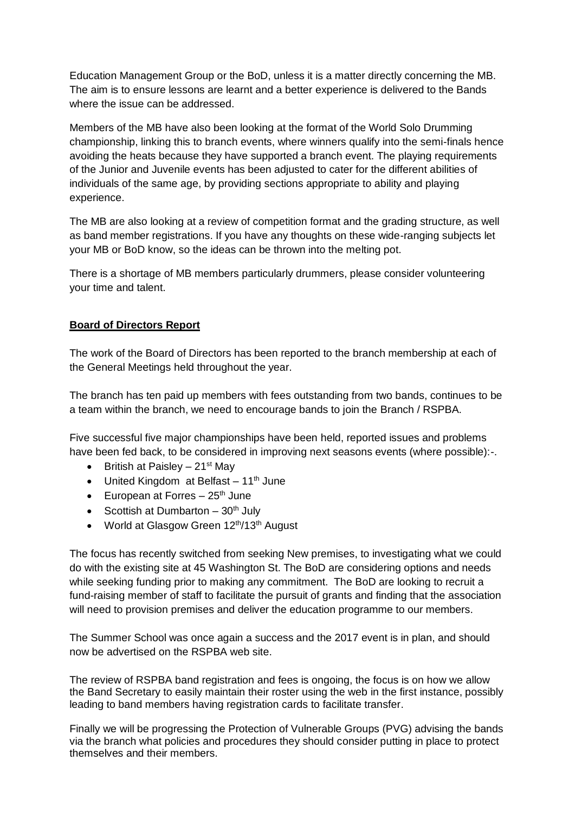Education Management Group or the BoD, unless it is a matter directly concerning the MB. The aim is to ensure lessons are learnt and a better experience is delivered to the Bands where the issue can be addressed.

Members of the MB have also been looking at the format of the World Solo Drumming championship, linking this to branch events, where winners qualify into the semi-finals hence avoiding the heats because they have supported a branch event. The playing requirements of the Junior and Juvenile events has been adjusted to cater for the different abilities of individuals of the same age, by providing sections appropriate to ability and playing experience.

The MB are also looking at a review of competition format and the grading structure, as well as band member registrations. If you have any thoughts on these wide-ranging subjects let your MB or BoD know, so the ideas can be thrown into the melting pot.

There is a shortage of MB members particularly drummers, please consider volunteering your time and talent.

## **Board of Directors Report**

The work of the Board of Directors has been reported to the branch membership at each of the General Meetings held throughout the year.

The branch has ten paid up members with fees outstanding from two bands, continues to be a team within the branch, we need to encourage bands to join the Branch / RSPBA.

Five successful five major championships have been held, reported issues and problems have been fed back, to be considered in improving next seasons events (where possible):-.

- British at Paisley  $21<sup>st</sup>$  May
- $\bullet$  United Kingdom at Belfast 11<sup>th</sup> June
- European at Forres  $-25<sup>th</sup>$  June
- Scottish at Dumbarton  $-30<sup>th</sup>$  July
- World at Glasgow Green 12<sup>th</sup>/13<sup>th</sup> August

The focus has recently switched from seeking New premises, to investigating what we could do with the existing site at 45 Washington St. The BoD are considering options and needs while seeking funding prior to making any commitment. The BoD are looking to recruit a fund-raising member of staff to facilitate the pursuit of grants and finding that the association will need to provision premises and deliver the education programme to our members.

The Summer School was once again a success and the 2017 event is in plan, and should now be advertised on the RSPBA web site.

The review of RSPBA band registration and fees is ongoing, the focus is on how we allow the Band Secretary to easily maintain their roster using the web in the first instance, possibly leading to band members having registration cards to facilitate transfer.

Finally we will be progressing the Protection of Vulnerable Groups (PVG) advising the bands via the branch what policies and procedures they should consider putting in place to protect themselves and their members.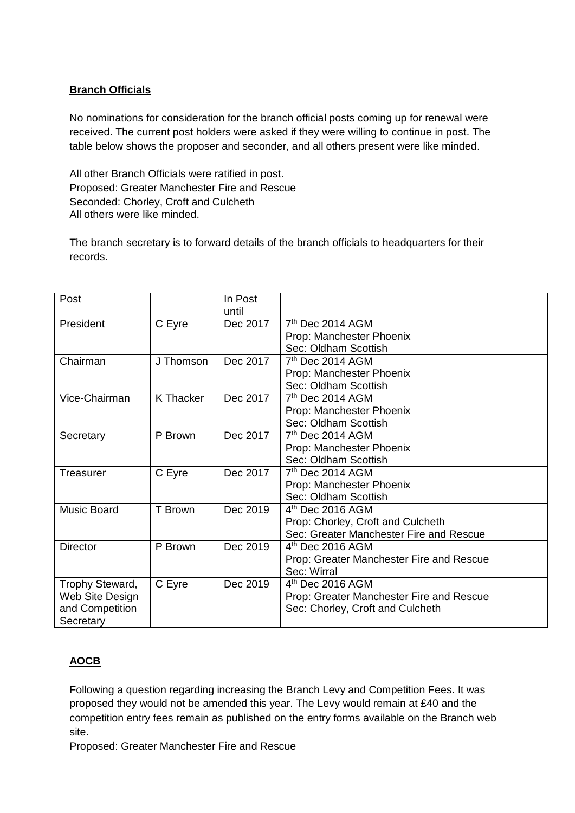# **Branch Officials**

No nominations for consideration for the branch official posts coming up for renewal were received. The current post holders were asked if they were willing to continue in post. The table below shows the proposer and seconder, and all others present were like minded.

All other Branch Officials were ratified in post. Proposed: Greater Manchester Fire and Rescue Seconded: Chorley, Croft and Culcheth All others were like minded.

The branch secretary is to forward details of the branch officials to headquarters for their records.

| Post               |           | In Post  |                                          |
|--------------------|-----------|----------|------------------------------------------|
|                    |           | until    |                                          |
| President          | C Eyre    | Dec 2017 | 7 <sup>th</sup> Dec 2014 AGM             |
|                    |           |          | Prop: Manchester Phoenix                 |
|                    |           |          | Sec: Oldham Scottish                     |
| Chairman           | J Thomson | Dec 2017 | $7th$ Dec 2014 AGM                       |
|                    |           |          | Prop: Manchester Phoenix                 |
|                    |           |          | Sec: Oldham Scottish                     |
| Vice-Chairman      | K Thacker | Dec 2017 | 7 <sup>th</sup> Dec 2014 AGM             |
|                    |           |          | Prop: Manchester Phoenix                 |
|                    |           |          | Sec: Oldham Scottish                     |
| Secretary          | P Brown   | Dec 2017 | $7th$ Dec 2014 AGM                       |
|                    |           |          | Prop: Manchester Phoenix                 |
|                    |           |          | Sec: Oldham Scottish                     |
| Treasurer          | C Eyre    | Dec 2017 | 7 <sup>th</sup> Dec 2014 AGM             |
|                    |           |          | Prop: Manchester Phoenix                 |
|                    |           |          | Sec: Oldham Scottish                     |
| <b>Music Board</b> | T Brown   | Dec 2019 | $4th$ Dec 2016 AGM                       |
|                    |           |          | Prop: Chorley, Croft and Culcheth        |
|                    |           |          | Sec: Greater Manchester Fire and Rescue  |
| <b>Director</b>    | P Brown   | Dec 2019 | $4th$ Dec 2016 AGM                       |
|                    |           |          | Prop: Greater Manchester Fire and Rescue |
|                    |           |          | Sec: Wirral                              |
| Trophy Steward,    | C Eyre    | Dec 2019 | $4th$ Dec 2016 AGM                       |
| Web Site Design    |           |          | Prop: Greater Manchester Fire and Rescue |
| and Competition    |           |          | Sec: Chorley, Croft and Culcheth         |
| Secretary          |           |          |                                          |

# **AOCB**

Following a question regarding increasing the Branch Levy and Competition Fees. It was proposed they would not be amended this year. The Levy would remain at £40 and the competition entry fees remain as published on the entry forms available on the Branch web site.

Proposed: Greater Manchester Fire and Rescue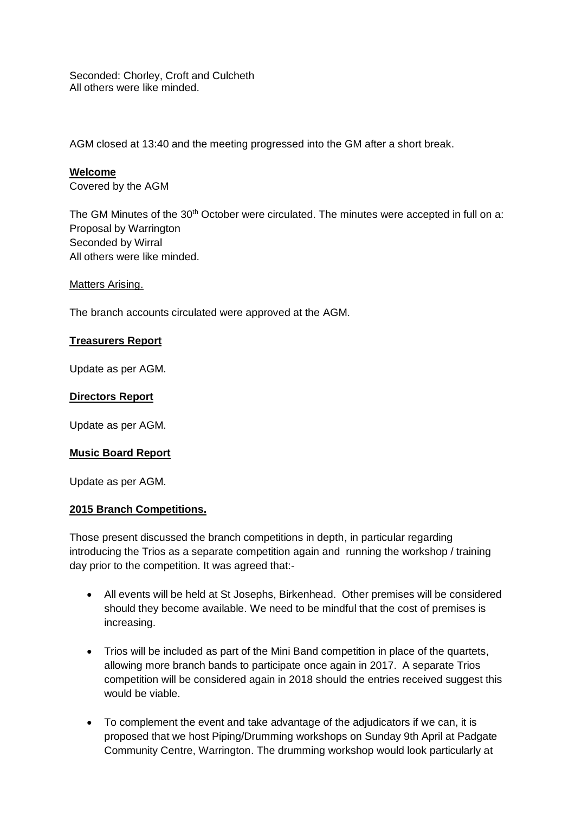Seconded: Chorley, Croft and Culcheth All others were like minded.

AGM closed at 13:40 and the meeting progressed into the GM after a short break.

#### **Welcome**

Covered by the AGM

The GM Minutes of the  $30<sup>th</sup>$  October were circulated. The minutes were accepted in full on a: Proposal by Warrington Seconded by Wirral All others were like minded.

Matters Arising.

The branch accounts circulated were approved at the AGM.

#### **Treasurers Report**

Update as per AGM.

#### **Directors Report**

Update as per AGM.

#### **Music Board Report**

Update as per AGM.

#### **2015 Branch Competitions.**

Those present discussed the branch competitions in depth, in particular regarding introducing the Trios as a separate competition again and running the workshop / training day prior to the competition. It was agreed that:-

- All events will be held at St Josephs, Birkenhead. Other premises will be considered should they become available. We need to be mindful that the cost of premises is increasing.
- Trios will be included as part of the Mini Band competition in place of the quartets, allowing more branch bands to participate once again in 2017. A separate Trios competition will be considered again in 2018 should the entries received suggest this would be viable.
- To complement the event and take advantage of the adjudicators if we can, it is proposed that we host Piping/Drumming workshops on Sunday 9th April at Padgate Community Centre, Warrington. The drumming workshop would look particularly at